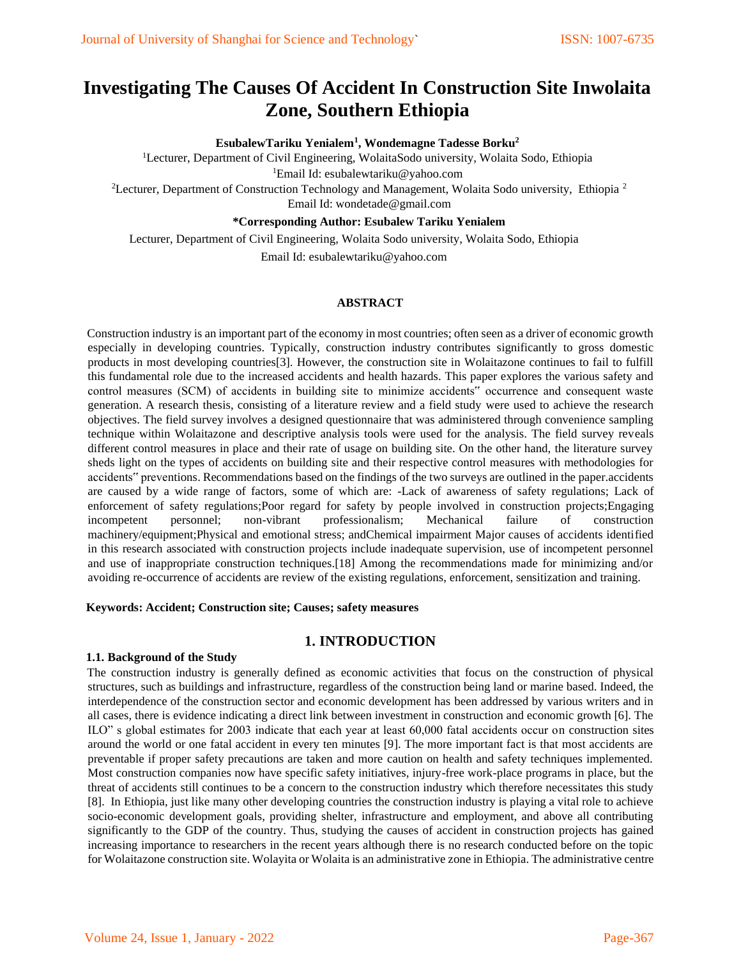# **Investigating The Causes Of Accident In Construction Site Inwolaita Zone, Southern Ethiopia**

## **EsubalewTariku Yenialem<sup>1</sup> , Wondemagne Tadesse Borku<sup>2</sup>**

<sup>1</sup>Lecturer, Department of Civil Engineering, WolaitaSodo university, Wolaita Sodo, Ethiopia <sup>1</sup>Email Id: esubalewtariku@yahoo.com

<sup>2</sup>Lecturer, Department of Construction Technology and Management, Wolaita Sodo university, Ethiopia<sup>2</sup> Email Id: wondetade@gmail.com

#### **\*Corresponding Author: Esubalew Tariku Yenialem**

Lecturer, Department of Civil Engineering, Wolaita Sodo university, Wolaita Sodo, Ethiopia

Email Id: esubalewtariku@yahoo.com

#### **ABSTRACT**

Construction industry is an important part of the economy in most countries; often seen as a driver of economic growth especially in developing countries. Typically, construction industry contributes significantly to gross domestic products in most developing countries[3]. However, the construction site in Wolaitazone continues to fail to fulfill this fundamental role due to the increased accidents and health hazards. This paper explores the various safety and control measures (SCM) of accidents in building site to minimize accidents" occurrence and consequent waste generation. A research thesis, consisting of a literature review and a field study were used to achieve the research objectives. The field survey involves a designed questionnaire that was administered through convenience sampling technique within Wolaitazone and descriptive analysis tools were used for the analysis. The field survey reveals different control measures in place and their rate of usage on building site. On the other hand, the literature survey sheds light on the types of accidents on building site and their respective control measures with methodologies for accidents" preventions. Recommendations based on the findings of the two surveys are outlined in the paper.accidents are caused by a wide range of factors, some of which are: -Lack of awareness of safety regulations; Lack of enforcement of safety regulations;Poor regard for safety by people involved in construction projects;Engaging incompetent personnel; non-vibrant professionalism; Mechanical failure of construction machinery/equipment;Physical and emotional stress; andChemical impairment Major causes of accidents identified in this research associated with construction projects include inadequate supervision, use of incompetent personnel and use of inappropriate construction techniques.[18] Among the recommendations made for minimizing and/or avoiding re-occurrence of accidents are review of the existing regulations, enforcement, sensitization and training.

#### **Keywords: Accident; Construction site; Causes; safety measures**

## **1. INTRODUCTION**

#### **1.1. Background of the Study**

The construction industry is generally defined as economic activities that focus on the construction of physical structures, such as buildings and infrastructure, regardless of the construction being land or marine based. Indeed, the interdependence of the construction sector and economic development has been addressed by various writers and in all cases, there is evidence indicating a direct link between investment in construction and economic growth [6]. The ILO" s global estimates for 2003 indicate that each year at least 60,000 fatal accidents occur on construction sites around the world or one fatal accident in every ten minutes [9]. The more important fact is that most accidents are preventable if proper safety precautions are taken and more caution on health and safety techniques implemented. Most construction companies now have specific safety initiatives, injury-free work-place programs in place, but the threat of accidents still continues to be a concern to the construction industry which therefore necessitates this study [8]. In Ethiopia, just like many other developing countries the construction industry is playing a vital role to achieve socio-economic development goals, providing shelter, infrastructure and employment, and above all contributing significantly to the GDP of the country. Thus, studying the causes of accident in construction projects has gained increasing importance to researchers in the recent years although there is no research conducted before on the topic for Wolaitazone construction site. Wolayita or Wolaita is an administrative zone in Ethiopia. The administrative centre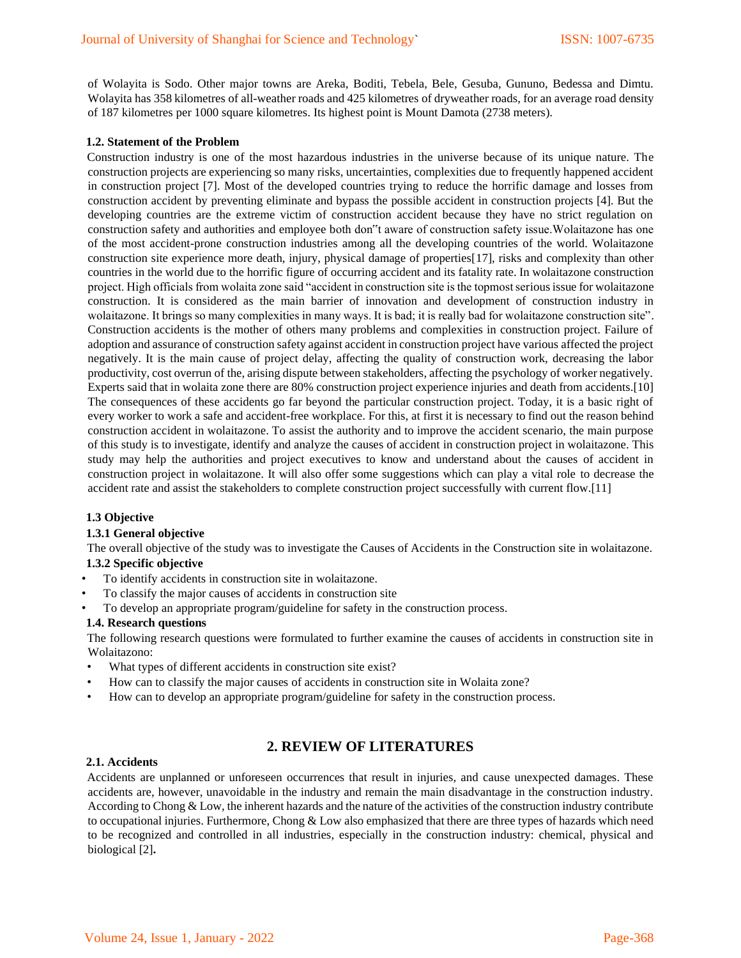of Wolayita is Sodo. Other major towns are Areka, Boditi, Tebela, Bele, Gesuba, Gununo, Bedessa and Dimtu. Wolayita has 358 kilometres of all-weather roads and 425 kilometres of dryweather roads, for an average road density of 187 kilometres per 1000 square kilometres. Its highest point is Mount Damota (2738 meters).

#### **1.2. Statement of the Problem**

Construction industry is one of the most hazardous industries in the universe because of its unique nature. The construction projects are experiencing so many risks, uncertainties, complexities due to frequently happened accident in construction project [7]. Most of the developed countries trying to reduce the horrific damage and losses from construction accident by preventing eliminate and bypass the possible accident in construction projects [4]. But the developing countries are the extreme victim of construction accident because they have no strict regulation on construction safety and authorities and employee both don"t aware of construction safety issue.Wolaitazone has one of the most accident-prone construction industries among all the developing countries of the world. Wolaitazone construction site experience more death, injury, physical damage of properties[17], risks and complexity than other countries in the world due to the horrific figure of occurring accident and its fatality rate. In wolaitazone construction project. High officials from wolaita zone said "accident in construction site is the topmost serious issue for wolaitazone construction. It is considered as the main barrier of innovation and development of construction industry in wolaitazone. It brings so many complexities in many ways. It is bad; it is really bad for wolaitazone construction site". Construction accidents is the mother of others many problems and complexities in construction project. Failure of adoption and assurance of construction safety against accident in construction project have various affected the project negatively. It is the main cause of project delay, affecting the quality of construction work, decreasing the labor productivity, cost overrun of the, arising dispute between stakeholders, affecting the psychology of worker negatively. Experts said that in wolaita zone there are 80% construction project experience injuries and death from accidents.[10] The consequences of these accidents go far beyond the particular construction project. Today, it is a basic right of every worker to work a safe and accident-free workplace. For this, at first it is necessary to find out the reason behind construction accident in wolaitazone. To assist the authority and to improve the accident scenario, the main purpose of this study is to investigate, identify and analyze the causes of accident in construction project in wolaitazone. This study may help the authorities and project executives to know and understand about the causes of accident in construction project in wolaitazone. It will also offer some suggestions which can play a vital role to decrease the accident rate and assist the stakeholders to complete construction project successfully with current flow.[11]

#### **1.3 Objective**

#### **1.3.1 General objective**

The overall objective of the study was to investigate the Causes of Accidents in the Construction site in wolaitazone. **1.3.2 Specific objective** 

- To identify accidents in construction site in wolaitazone.
- To classify the major causes of accidents in construction site
- To develop an appropriate program/guideline for safety in the construction process.

#### **1.4. Research questions**

The following research questions were formulated to further examine the causes of accidents in construction site in Wolaitazono:

- What types of different accidents in construction site exist?
- How can to classify the major causes of accidents in construction site in Wolaita zone?
- How can to develop an appropriate program/guideline for safety in the construction process.

## **2. REVIEW OF LITERATURES**

#### **2.1. Accidents**

Accidents are unplanned or unforeseen occurrences that result in injuries, and cause unexpected damages. These accidents are, however, unavoidable in the industry and remain the main disadvantage in the construction industry. According to Chong & Low, the inherent hazards and the nature of the activities of the construction industry contribute to occupational injuries. Furthermore, Chong & Low also emphasized that there are three types of hazards which need to be recognized and controlled in all industries, especially in the construction industry: chemical, physical and biological [2]**.**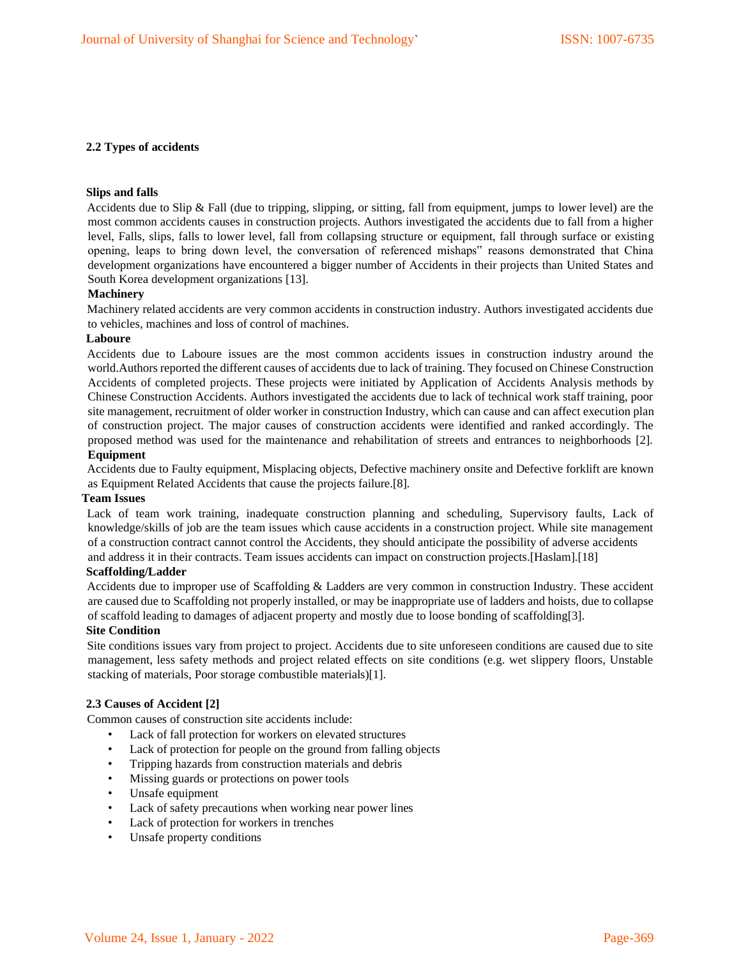## **2.2 Types of accidents**

#### **Slips and falls**

Accidents due to Slip & Fall (due to tripping, slipping, or sitting, fall from equipment, jumps to lower level) are the most common accidents causes in construction projects. Authors investigated the accidents due to fall from a higher level, Falls, slips, falls to lower level, fall from collapsing structure or equipment, fall through surface or existing opening, leaps to bring down level, the conversation of referenced mishaps" reasons demonstrated that China development organizations have encountered a bigger number of Accidents in their projects than United States and South Korea development organizations [13].

#### **Machinery**

Machinery related accidents are very common accidents in construction industry. Authors investigated accidents due to vehicles, machines and loss of control of machines.

### **Laboure**

Accidents due to Laboure issues are the most common accidents issues in construction industry around the world.Authors reported the different causes of accidents due to lack of training. They focused on Chinese Construction Accidents of completed projects. These projects were initiated by Application of Accidents Analysis methods by Chinese Construction Accidents. Authors investigated the accidents due to lack of technical work staff training, poor site management, recruitment of older worker in construction Industry, which can cause and can affect execution plan of construction project. The major causes of construction accidents were identified and ranked accordingly. The proposed method was used for the maintenance and rehabilitation of streets and entrances to neighborhoods [2]. **Equipment** 

Accidents due to Faulty equipment, Misplacing objects, Defective machinery onsite and Defective forklift are known as Equipment Related Accidents that cause the projects failure.[8].

#### **Team Issues**

Lack of team work training, inadequate construction planning and scheduling, Supervisory faults, Lack of knowledge/skills of job are the team issues which cause accidents in a construction project. While site management of a construction contract cannot control the Accidents, they should anticipate the possibility of adverse accidents and address it in their contracts. Team issues accidents can impact on construction projects.[Haslam].[18]

#### **Scaffolding/Ladder**

Accidents due to improper use of Scaffolding & Ladders are very common in construction Industry. These accident are caused due to Scaffolding not properly installed, or may be inappropriate use of ladders and hoists, due to collapse of scaffold leading to damages of adjacent property and mostly due to loose bonding of scaffolding[3].

#### **Site Condition**

Site conditions issues vary from project to project. Accidents due to site unforeseen conditions are caused due to site management, less safety methods and project related effects on site conditions (e.g. wet slippery floors, Unstable stacking of materials, Poor storage combustible materials)[1].

#### **2.3 Causes of Accident [2]**

Common causes of construction site accidents include:

- Lack of fall protection for workers on elevated structures
- Lack of protection for people on the ground from falling objects
- Tripping hazards from construction materials and debris
- Missing guards or protections on power tools
- Unsafe equipment
- Lack of safety precautions when working near power lines
- Lack of protection for workers in trenches
- Unsafe property conditions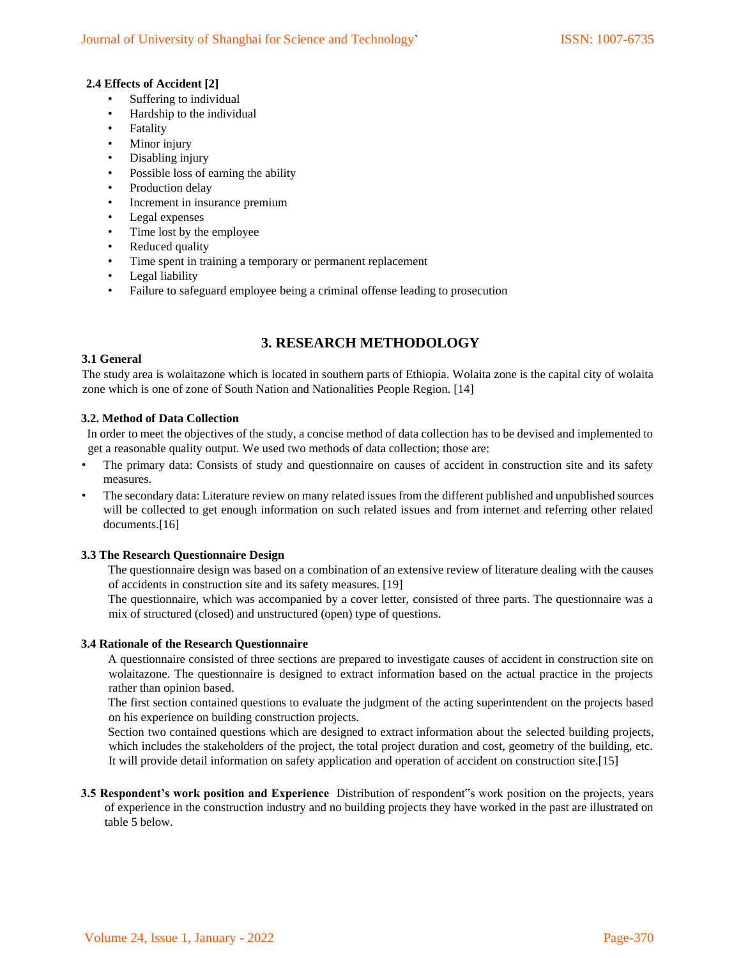## **2.4 Effects of Accident [2]**

- Suffering to individual
- Hardship to the individual
- **Fatality**
- Minor injury
- Disabling injury
- Possible loss of earning the ability
- Production delay
- Increment in insurance premium
- Legal expenses
- Time lost by the employee
- Reduced quality
- Time spent in training a temporary or permanent replacement
- Legal liability
- Failure to safeguard employee being a criminal offense leading to prosecution

## **3. RESEARCH METHODOLOGY**

## **3.1 General**

The study area is wolaitazone which is located in southern parts of Ethiopia. Wolaita zone is the capital city of wolaita zone which is one of zone of South Nation and Nationalities People Region. [14]

## **3.2. Method of Data Collection**

In order to meet the objectives of the study, a concise method of data collection has to be devised and implemented to get a reasonable quality output. We used two methods of data collection; those are:

- The primary data: Consists of study and questionnaire on causes of accident in construction site and its safety measures.
- The secondary data: Literature review on many related issues from the different published and unpublished sources will be collected to get enough information on such related issues and from internet and referring other related documents.[16]

## **3.3 The Research Questionnaire Design**

The questionnaire design was based on a combination of an extensive review of literature dealing with the causes of accidents in construction site and its safety measures. [19]

The questionnaire, which was accompanied by a cover letter, consisted of three parts. The questionnaire was a mix of structured (closed) and unstructured (open) type of questions.

## **3.4 Rationale of the Research Questionnaire**

A questionnaire consisted of three sections are prepared to investigate causes of accident in construction site on wolaitazone. The questionnaire is designed to extract information based on the actual practice in the projects rather than opinion based.

The first section contained questions to evaluate the judgment of the acting superintendent on the projects based on his experience on building construction projects.

Section two contained questions which are designed to extract information about the selected building projects, which includes the stakeholders of the project, the total project duration and cost, geometry of the building, etc. It will provide detail information on safety application and operation of accident on construction site.[15]

**3.5 Respondent's work position and Experience** Distribution of respondent"s work position on the projects, years of experience in the construction industry and no building projects they have worked in the past are illustrated on table 5 below.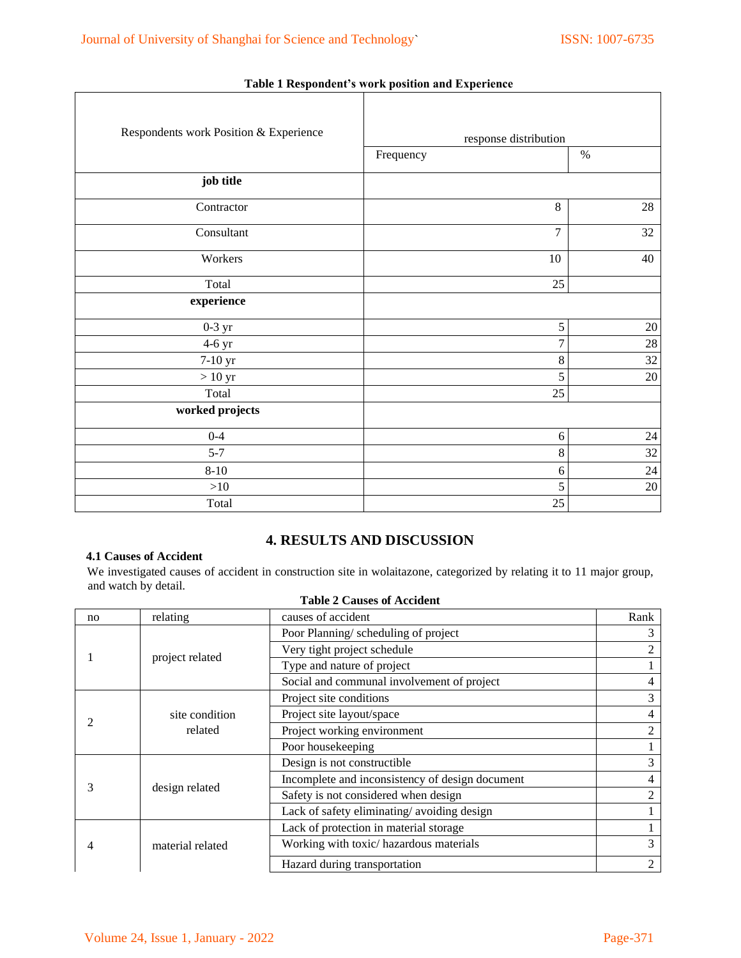| Respondents work Position & Experience | response distribution |        |
|----------------------------------------|-----------------------|--------|
|                                        | Frequency             | $\%$   |
| job title                              |                       |        |
| Contractor                             | 8                     | $28\,$ |
| Consultant                             | 7                     | 32     |
| Workers                                | 10                    | 40     |
| Total                                  | 25                    |        |
| experience                             |                       |        |
| $0-3$ yr                               | 5                     | $20\,$ |
| $4-6$ yr                               | $\overline{7}$        | $28\,$ |
| 7-10 yr                                | 8                     | $32\,$ |
| $>10~\rm{yr}$                          | 5                     | $20\,$ |
| Total                                  | 25                    |        |
| worked projects                        |                       |        |
| $0 - 4$                                | $\sqrt{6}$            | $24\,$ |
| $5 - 7$                                | $8\,$                 | 32     |
| $8 - 10$                               | $\sqrt{6}$            | $24\,$ |
| $>10$                                  | 5                     | $20\,$ |
| Total                                  | 25                    |        |

## **Table 1 Respondent's work position and Experience**

## **4. RESULTS AND DISCUSSION**

## **4.1 Causes of Accident**

We investigated causes of accident in construction site in wolaitazone, categorized by relating it to 11 major group, and watch by detail.

| n <sub>0</sub> | relating                  | causes of accident                              | Rank           |
|----------------|---------------------------|-------------------------------------------------|----------------|
|                | project related           | Poor Planning/scheduling of project             | 3              |
|                |                           | Very tight project schedule                     | 2              |
|                |                           | Type and nature of project                      |                |
|                |                           | Social and communal involvement of project      | 4              |
|                | site condition<br>related | Project site conditions                         | 3              |
|                |                           | Project site layout/space                       | 4              |
|                |                           | Project working environment                     | 2              |
|                |                           | Poor housekeeping                               |                |
| 3              |                           | Design is not constructible                     | 3              |
|                |                           | Incomplete and inconsistency of design document | 4              |
|                | design related            | Safety is not considered when design            | $\mathfrak{D}$ |
|                |                           | Lack of safety eliminating/avoiding design      |                |
|                | material related          | Lack of protection in material storage          |                |
|                |                           | Working with toxic/ hazardous materials         | 3              |
|                |                           | Hazard during transportation                    | 2              |

## **Table 2 Causes of Accident**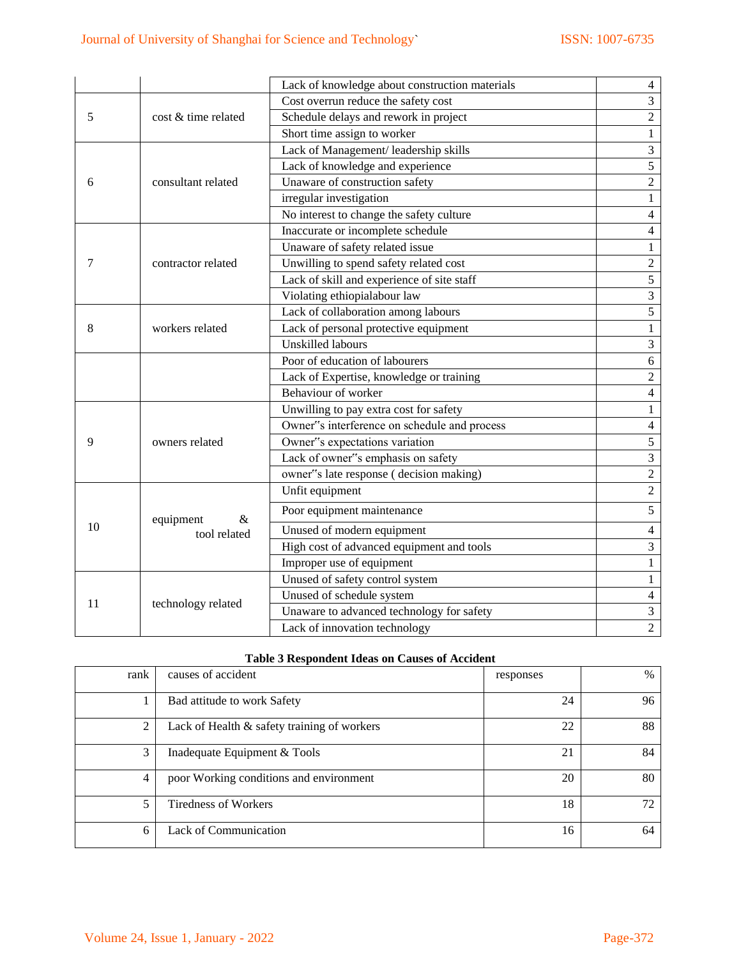|                    |                     | Lack of knowledge about construction materials | $\overline{4}$   |
|--------------------|---------------------|------------------------------------------------|------------------|
|                    |                     | Cost overrun reduce the safety cost            | $\overline{3}$   |
| 5                  | cost & time related | Schedule delays and rework in project          | $\overline{c}$   |
|                    |                     | Short time assign to worker                    | $\mathbf{1}$     |
|                    |                     | Lack of Management/ leadership skills          | 3                |
|                    |                     | Lack of knowledge and experience               | 5                |
| 6                  | consultant related  | Unaware of construction safety                 | $\boldsymbol{2}$ |
|                    |                     | irregular investigation                        | $\mathbf{1}$     |
|                    |                     | No interest to change the safety culture       | $\overline{4}$   |
|                    |                     | Inaccurate or incomplete schedule              | 4                |
|                    |                     | Unaware of safety related issue                | $\mathbf{1}$     |
| 7                  | contractor related  | Unwilling to spend safety related cost         | $\overline{c}$   |
|                    |                     | Lack of skill and experience of site staff     | $\overline{5}$   |
|                    |                     | Violating ethiopialabour law                   | 3                |
|                    |                     | Lack of collaboration among labours            | 5                |
| 8                  | workers related     | Lack of personal protective equipment          | 1                |
|                    |                     | <b>Unskilled labours</b>                       | 3                |
|                    |                     | Poor of education of labourers                 | 6                |
|                    |                     | Lack of Expertise, knowledge or training       | $\overline{2}$   |
|                    |                     | Behaviour of worker                            | $\overline{4}$   |
|                    |                     | Unwilling to pay extra cost for safety         | 1                |
|                    |                     | Owner"s interference on schedule and process   | $\overline{4}$   |
| 9                  | owners related      | Owner"s expectations variation                 | 5                |
|                    |                     | Lack of owner"s emphasis on safety             | $\overline{3}$   |
|                    |                     | owner"s late response (decision making)        | $\overline{c}$   |
|                    |                     | Unfit equipment                                | $\overline{2}$   |
|                    | $\&$<br>equipment   | Poor equipment maintenance                     | 5                |
| 10                 | tool related        | Unused of modern equipment                     | $\overline{4}$   |
|                    |                     | High cost of advanced equipment and tools      | 3                |
|                    |                     | Improper use of equipment                      | $\mathbf{1}$     |
|                    |                     | Unused of safety control system                | $\mathbf{1}$     |
| 11                 |                     | Unused of schedule system                      | $\overline{4}$   |
| technology related |                     | Unaware to advanced technology for safety      | $\overline{3}$   |
|                    |                     | Lack of innovation technology                  | $\overline{2}$   |

## **Table 3 Respondent Ideas on Causes of Accident**

| rank | causes of accident                          | responses | $\%$ |
|------|---------------------------------------------|-----------|------|
|      | Bad attitude to work Safety                 | 24        | 96   |
| 2    | Lack of Health & safety training of workers | 22        | 88   |
| 3    | Inadequate Equipment & Tools                | 21        | 84   |
| 4    | poor Working conditions and environment     | 20        | 80   |
| 5    | Tiredness of Workers                        | 18        | 72   |
| 6    | Lack of Communication                       | 16        | 64   |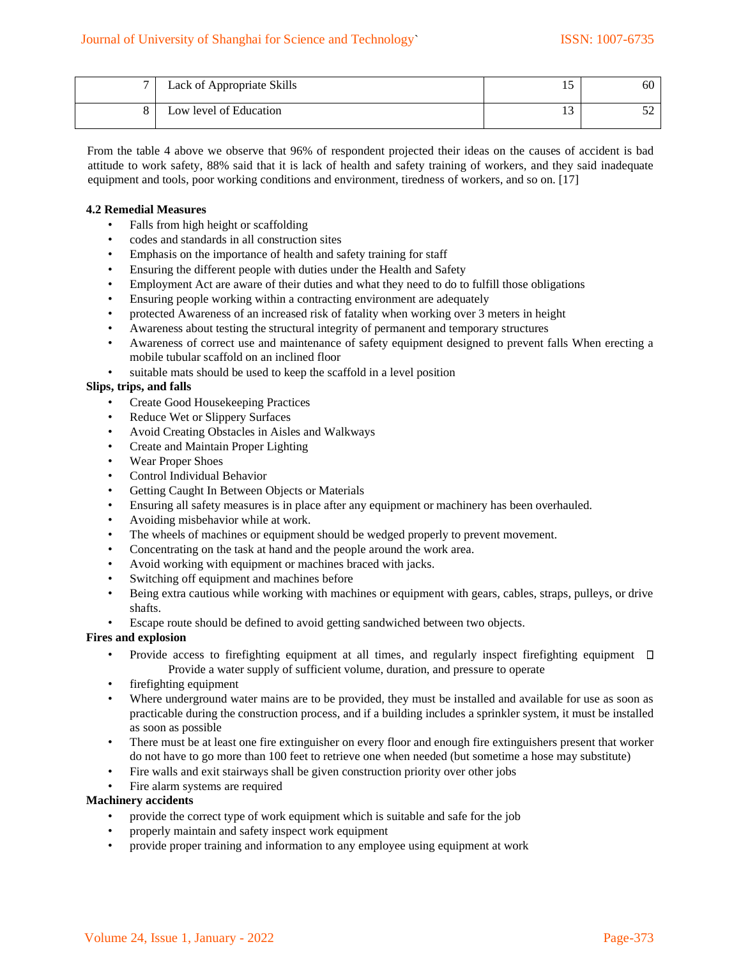| Lack of Appropriate Skills | ⊥ ~ | 60 |
|----------------------------|-----|----|
| Low level of Education     |     |    |

From the table 4 above we observe that 96% of respondent projected their ideas on the causes of accident is bad attitude to work safety, 88% said that it is lack of health and safety training of workers, and they said inadequate equipment and tools, poor working conditions and environment, tiredness of workers, and so on. [17]

#### **4.2 Remedial Measures**

- Falls from high height or scaffolding
- codes and standards in all construction sites
- Emphasis on the importance of health and safety training for staff
- Ensuring the different people with duties under the Health and Safety
- Employment Act are aware of their duties and what they need to do to fulfill those obligations
- Ensuring people working within a contracting environment are adequately
- protected Awareness of an increased risk of fatality when working over 3 meters in height
- Awareness about testing the structural integrity of permanent and temporary structures
- Awareness of correct use and maintenance of safety equipment designed to prevent falls When erecting a mobile tubular scaffold on an inclined floor
- suitable mats should be used to keep the scaffold in a level position

#### **Slips, trips, and falls**

- Create Good Housekeeping Practices
- Reduce Wet or Slippery Surfaces
- Avoid Creating Obstacles in Aisles and Walkways
- Create and Maintain Proper Lighting
- Wear Proper Shoes
- Control Individual Behavior
- Getting Caught In Between Objects or Materials
- Ensuring all safety measures is in place after any equipment or machinery has been overhauled.
- Avoiding misbehavior while at work.
- The wheels of machines or equipment should be wedged properly to prevent movement.
- Concentrating on the task at hand and the people around the work area.
- Avoid working with equipment or machines braced with jacks.
- Switching off equipment and machines before
- Being extra cautious while working with machines or equipment with gears, cables, straps, pulleys, or drive shafts.
- Escape route should be defined to avoid getting sandwiched between two objects.

#### **Fires and explosion**

- Provide access to firefighting equipment at all times, and regularly inspect firefighting equipment  $\Box$ Provide a water supply of sufficient volume, duration, and pressure to operate
- firefighting equipment
- Where underground water mains are to be provided, they must be installed and available for use as soon as practicable during the construction process, and if a building includes a sprinkler system, it must be installed as soon as possible
- There must be at least one fire extinguisher on every floor and enough fire extinguishers present that worker do not have to go more than 100 feet to retrieve one when needed (but sometime a hose may substitute)
- Fire walls and exit stairways shall be given construction priority over other jobs
- Fire alarm systems are required

#### **Machinery accidents**

- provide the correct type of work equipment which is suitable and safe for the job
- properly maintain and safety inspect work equipment
- provide proper training and information to any employee using equipment at work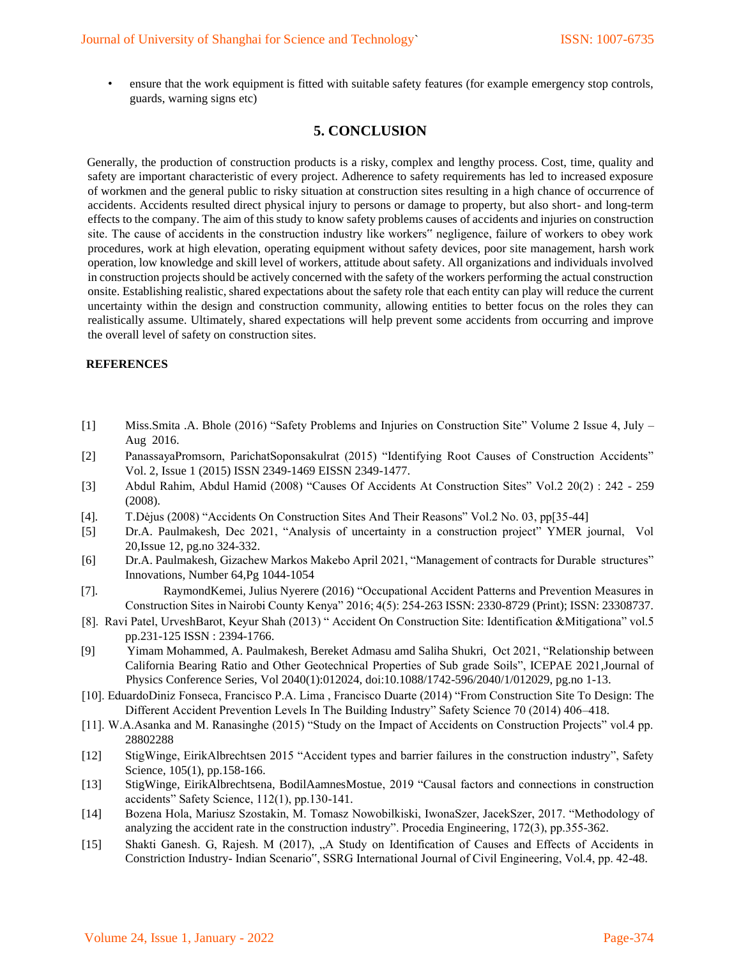• ensure that the work equipment is fitted with suitable safety features (for example emergency stop controls, guards, warning signs etc)

## **5. CONCLUSION**

Generally, the production of construction products is a risky, complex and lengthy process. Cost, time, quality and safety are important characteristic of every project. Adherence to safety requirements has led to increased exposure of workmen and the general public to risky situation at construction sites resulting in a high chance of occurrence of accidents. Accidents resulted direct physical injury to persons or damage to property, but also short- and long-term effects to the company. The aim of this study to know safety problems causes of accidents and injuries on construction site. The cause of accidents in the construction industry like workers" negligence, failure of workers to obey work procedures, work at high elevation, operating equipment without safety devices, poor site management, harsh work operation, low knowledge and skill level of workers, attitude about safety. All organizations and individuals involved in construction projects should be actively concerned with the safety of the workers performing the actual construction onsite. Establishing realistic, shared expectations about the safety role that each entity can play will reduce the current uncertainty within the design and construction community, allowing entities to better focus on the roles they can realistically assume. Ultimately, shared expectations will help prevent some accidents from occurring and improve the overall level of safety on construction sites.

#### **REFERENCES**

- [1] Miss.Smita .A. Bhole (2016) "Safety Problems and Injuries on Construction Site" Volume 2 Issue 4, July Aug 2016.
- [2] PanassayaPromsorn, ParichatSoponsakulrat (2015) "Identifying Root Causes of Construction Accidents" Vol. 2, Issue 1 (2015) ISSN 2349-1469 EISSN 2349-1477.
- [3] Abdul Rahim, Abdul Hamid (2008) "Causes Of Accidents At Construction Sites" Vol.2 20(2) : 242 259 (2008).
- [4]. T.Dėjus (2008) "Accidents On Construction Sites And Their Reasons" Vol.2 No. 03, pp[35-44]
- [5] D[r.A. Paulmakesh,](https://www.researchgate.net/scientific-contributions/A-Paulmakesh-2205228769) Dec 2021, "Analysis of uncertainty in a construction project" YMER journal, Vol 20,Issue 12, pg.no 324-332.
- [6] D[r.A. Paulmakesh,](https://www.researchgate.net/scientific-contributions/A-Paulmakesh-2205228769) Gizachew Markos Makebo April 2021, "Management of contracts for Durable structures" Innovations, Number 64,Pg 1044-1054
- [7]. RaymondKemei, Julius Nyerere (2016) "Occupational Accident Patterns and Prevention Measures in Construction Sites in Nairobi County Kenya" 2016; 4(5): 254-263 ISSN: 2330-8729 (Print); ISSN: 23308737.
- [8]. Ravi Patel, UrveshBarot, Keyur Shah (2013) " Accident On Construction Site: Identification &Mitigationa" vol.5 pp.231-125 ISSN : 2394-1766.
- [9] [Yimam Mohammed,](https://www.researchgate.net/scientific-contributions/Yimam-Mohammed-2205231723) [A. Paulmakesh,](https://www.researchgate.net/scientific-contributions/A-Paulmakesh-2205228769) [Bereket Admasu a](https://www.researchgate.net/scientific-contributions/Bereket-Admasu-2205277422)md [Saliha Shukri,](https://www.researchgate.net/scientific-contributions/Saliha-Shukri-2205252445) Oct 2021, "Relationship between California Bearing Ratio and Other Geotechnical Properties of Sub grade Soils", ICEPAE 202[1,Journal of](https://www.researchgate.net/journal/Journal-of-Physics-Conference-Series-1742-6596)  [Physics Conference Series,](https://www.researchgate.net/journal/Journal-of-Physics-Conference-Series-1742-6596) Vol 2040(1):012024, doi:10.1088/1742-596/2040/1/012029, pg.no 1-13.
- [10]. EduardoDiniz Fonseca, Francisco P.A. Lima , Francisco Duarte (2014) "From Construction Site To Design: The Different Accident Prevention Levels In The Building Industry" Safety Science 70 (2014) 406–418.
- [11]. W.A.Asanka and M. Ranasinghe (2015) "Study on the Impact of Accidents on Construction Projects" vol.4 pp. 28802288
- [12] StigWinge, EirikAlbrechtsen 2015 "Accident types and barrier failures in the construction industry", Safety Science, 105(1), pp.158-166.
- [13] StigWinge, EirikAlbrechtsena, BodilAamnesMostue, 2019 "Causal factors and connections in construction accidents" Safety Science, 112(1), pp.130-141.
- [14] Bozena Hola, Mariusz Szostakin, M. Tomasz Nowobilkiski, IwonaSzer, JacekSzer, 2017. "Methodology of analyzing the accident rate in the construction industry". Procedia Engineering, 172(3), pp.355-362.
- [15] Shakti Ganesh. G, Rajesh. M (2017), "A Study on Identification of Causes and Effects of Accidents in Constriction Industry- Indian Scenario", SSRG International Journal of Civil Engineering, Vol.4, pp. 42-48.